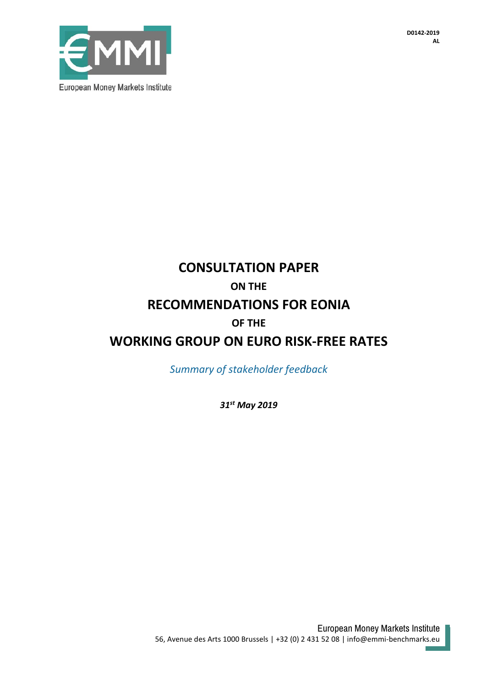



# **CONSULTATION PAPER ON THE RECOMMENDATIONS FOR EONIA OF THE WORKING GROUP ON EURO RISK-FREE RATES**

*Summary of stakeholder feedback*

*31st May 2019*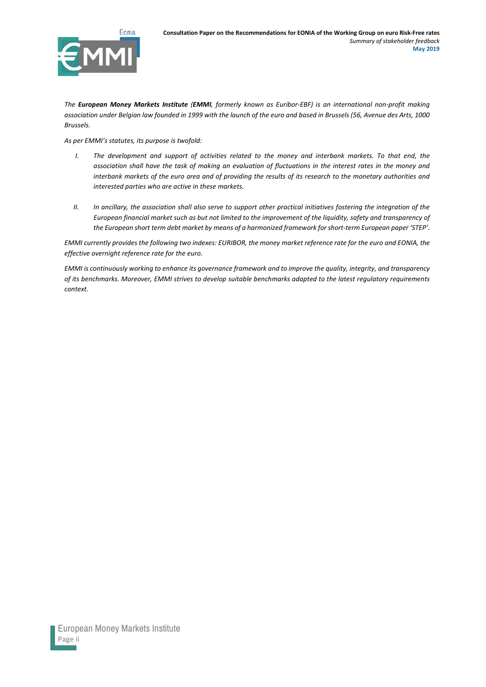

*The European Money Markets Institute (EMMI, formerly known as Euribor-EBF) is an international non-profit making association under Belgian law founded in 1999 with the launch of the euro and based in Brussels (56, Avenue des Arts, 1000 Brussels.*

*As per EMMI's statutes, its purpose is twofold:* 

- *I. The development and support of activities related to the money and interbank markets. To that end, the association shall have the task of making an evaluation of fluctuations in the interest rates in the money and interbank markets of the euro area and of providing the results of its research to the monetary authorities and interested parties who are active in these markets.*
- *II.* In ancillary, the association shall also serve to support other practical initiatives fostering the integration of the *European financial market such as but not limited to the improvement of the liquidity, safety and transparency of the European short term debt market by means of a harmonized framework for short-term European paper 'STEP'.*

*EMMI currently provides the following two indexes: EURIBOR, the money market reference rate for the euro and EONIA, the effective overnight reference rate for the euro.*

*EMMI is continuously working to enhance its governance framework and to improve the quality, integrity, and transparency of its benchmarks. Moreover, EMMI strives to develop suitable benchmarks adapted to the latest regulatory requirements context.*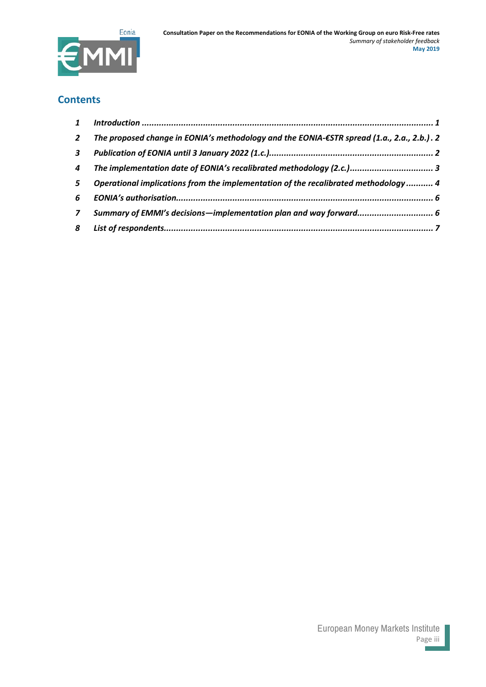

# **Contents**

| $\mathbf{1}$   |                                                                                            |  |
|----------------|--------------------------------------------------------------------------------------------|--|
| $\overline{2}$ | The proposed change in EONIA's methodology and the EONIA-€STR spread (1.a., 2.a., 2.b.). 2 |  |
| $\mathbf{3}$   |                                                                                            |  |
| 4              |                                                                                            |  |
| 5              | Operational implications from the implementation of the recalibrated methodology  4        |  |
| 6              |                                                                                            |  |
| $\overline{z}$ |                                                                                            |  |
| 8              |                                                                                            |  |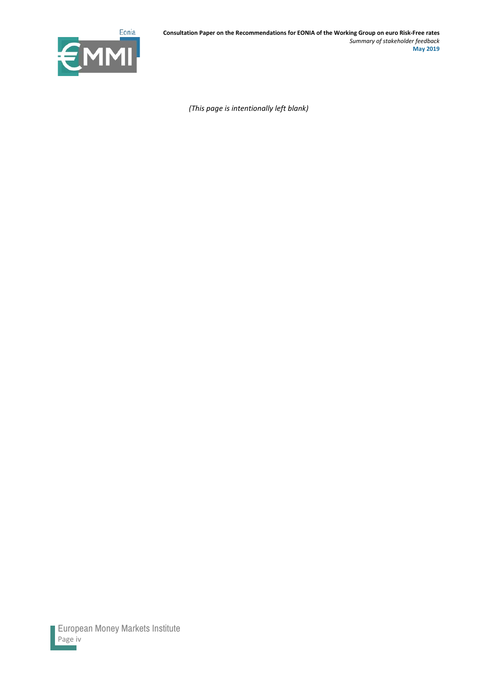

*(This page is intentionally left blank)*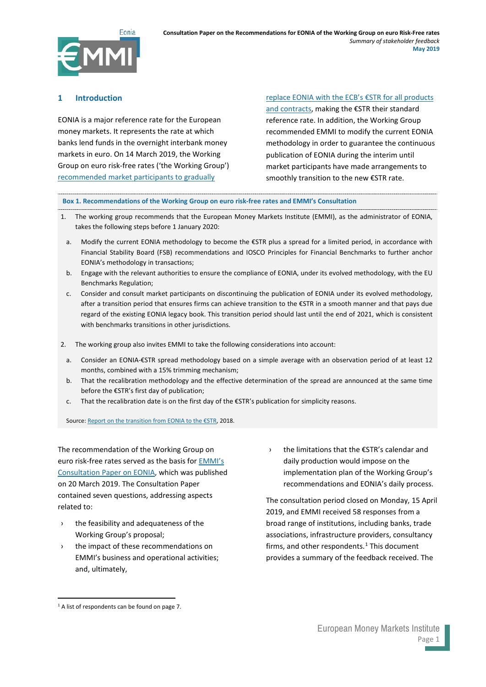

#### <span id="page-4-0"></span>**1 Introduction**

EONIA is a major reference rate for the European money markets. It represents the rate at which banks lend funds in the overnight interbank money markets in euro. On 14 March 2019, the Working Group on euro risk-free rates ('the Working Group') [recommended market participants to gradually](https://www.ecb.europa.eu/press/pr/date/2019/html/ecb.pr190314_1%7Eaf10eb740e.en.html) 

#### [replace EONIA with the ECB's €STR for all products](https://www.ecb.europa.eu/press/pr/date/2019/html/ecb.pr190314_1%7Eaf10eb740e.en.html)

[and contracts,](https://www.ecb.europa.eu/press/pr/date/2019/html/ecb.pr190314_1%7Eaf10eb740e.en.html) making the €STR their standard reference rate. In addition, the Working Group recommended EMMI to modify the current EONIA methodology in order to guarantee the continuous publication of EONIA during the interim until market participants have made arrangements to smoothly transition to the new €STR rate.

**Box 1. Recommendations of the Working Group on euro risk-free rates and EMMI's Consultation**

- 1. The working group recommends that the European Money Markets Institute (EMMI), as the administrator of EONIA, takes the following steps before 1 January 2020:
	- a. Modify the current EONIA methodology to become the €STR plus a spread for a limited period, in accordance with Financial Stability Board (FSB) recommendations and IOSCO Principles for Financial Benchmarks to further anchor EONIA's methodology in transactions;
	- b. Engage with the relevant authorities to ensure the compliance of EONIA, under its evolved methodology, with the EU Benchmarks Regulation;
	- c. Consider and consult market participants on discontinuing the publication of EONIA under its evolved methodology, after a transition period that ensures firms can achieve transition to the €STR in a smooth manner and that pays due regard of the existing EONIA legacy book. This transition period should last until the end of 2021, which is consistent with benchmarks transitions in other jurisdictions.
- 2. The working group also invites EMMI to take the following considerations into account:
	- a. Consider an EONIA-€STR spread methodology based on a simple average with an observation period of at least 12 months, combined with a 15% trimming mechanism;
	- b. That the recalibration methodology and the effective determination of the spread are announced at the same time before the €STR's first day of publication;
	- c. That the recalibration date is on the first day of the €STR's publication for simplicity reasons.

Source[: Report on the transition from EONIA to the €STR,](https://www.ecb.europa.eu/paym/pdf/cons/euro_risk-free_rates/ecb.eoniatransitionreport201812.en.pdf) 2018.

The recommendation of the Working Group on euro risk-free rates served as the basis fo[r EMMI's](https://www.emmi-benchmarks.eu/assets/files/D0088B-2019%20EONIA%20consultation%20RFR%20WG.pdf)  [Consultation Paper on EONIA,](https://www.emmi-benchmarks.eu/assets/files/D0088B-2019%20EONIA%20consultation%20RFR%20WG.pdf) which was published on 20 March 2019. The Consultation Paper contained seven questions, addressing aspects related to:

- › the feasibility and adequateness of the Working Group's proposal;
- › the impact of these recommendations on EMMI's business and operational activities; and, ultimately,

› the limitations that the €STR's calendar and daily production would impose on the implementation plan of the Working Group's recommendations and EONIA's daily process.

The consultation period closed on Monday, 15 April 2019, and EMMI received 58 responses from a broad range of institutions, including banks, trade associations, infrastructure providers, consultancy firms, and other respondents. [1](#page-4-1) This document provides a summary of the feedback received. The

<span id="page-4-1"></span><sup>&</sup>lt;sup>1</sup> A list of respondents can be found on page 7.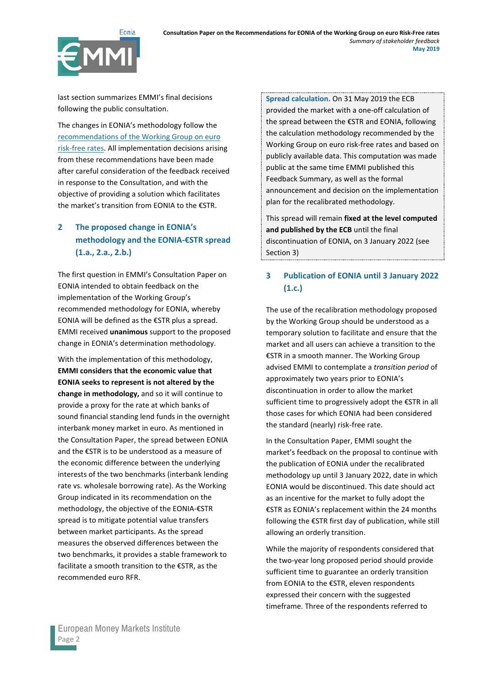

last section summarizes EMMI's final decisions following the public consultation.

The changes in EONIA's methodology follow the [recommendations of the Working Group on euro](https://www.ecb.europa.eu/pub/pdf/annex/ecb.sp190314_annex_recommendation.en.pdf?269a016db91d857f9bdf958119f78b3b)  [risk-free rates.](https://www.ecb.europa.eu/pub/pdf/annex/ecb.sp190314_annex_recommendation.en.pdf?269a016db91d857f9bdf958119f78b3b) All implementation decisions arising from these recommendations have been made after careful consideration of the feedback received in response to the Consultation, and with the objective of providing a solution which facilitates the market's transition from EONIA to the €STR.

# <span id="page-5-0"></span>**2 The proposed change in EONIA's methodology and the EONIA-€STR spread (1.a., 2.a., 2.b.)**

The first question in EMMI's Consultation Paper on EONIA intended to obtain feedback on the implementation of the Working Group's recommended methodology for EONIA, whereby EONIA will be defined as the €STR plus a spread. EMMI received **unanimous** support to the proposed change in EONIA's determination methodology.

With the implementation of this methodology, **EMMI considers that the economic value that EONIA seeks to represent is not altered by the change in methodology,** and so it will continue to provide a proxy for the rate at which banks of sound financial standing lend funds in the overnight interbank money market in euro. As mentioned in the Consultation Paper, the spread between EONIA and the €STR is to be understood as a measure of the economic difference between the underlying interests of the two benchmarks (interbank lending rate vs. wholesale borrowing rate). As the Working Group indicated in its recommendation on the methodology, the objective of the EONIA-€STR spread is to mitigate potential value transfers between market participants. As the spread measures the observed differences between the two benchmarks, it provides a stable framework to facilitate a smooth transition to the €STR, as the recommended euro RFR.

**Spread calculation.** On 31 May 2019 the ECB provided the market with a one-off calculation of the spread between the €STR and EONIA, following the calculation methodology recommended by the Working Group on euro risk-free rates and based on publicly available data. This computation was made public at the same time EMMI published this Feedback Summary, as well as the formal announcement and decision on the implementation plan for the recalibrated methodology.

This spread will remain **fixed at the level computed and published by the ECB** until the final discontinuation of EONIA, on 3 January 2022 (see Section 3)

# <span id="page-5-1"></span>**3 Publication of EONIA until 3 January 2022 (1.c.)**

The use of the recalibration methodology proposed by the Working Group should be understood as a temporary solution to facilitate and ensure that the market and all users can achieve a transition to the €STR in a smooth manner. The Working Group advised EMMI to contemplate a *transition period* of approximately two years prior to EONIA's discontinuation in order to allow the market sufficient time to progressively adopt the €STR in all those cases for which EONIA had been considered the standard (nearly) risk-free rate.

In the Consultation Paper, EMMI sought the market's feedback on the proposal to continue with the publication of EONIA under the recalibrated methodology up until 3 January 2022, date in which EONIA would be discontinued. This date should act as an incentive for the market to fully adopt the €STR as EONIA's replacement within the 24 months following the €STR first day of publication, while still allowing an orderly transition.

While the majority of respondents considered that the two-year long proposed period should provide sufficient time to guarantee an orderly transition from EONIA to the €STR, eleven respondents expressed their concern with the suggested timeframe. Three of the respondents referred to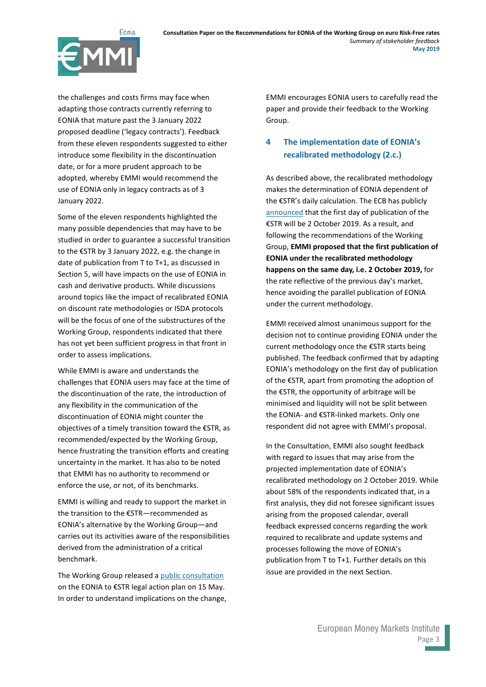

the challenges and costs firms may face when adapting those contracts currently referring to EONIA that mature past the 3 January 2022 proposed deadline ('legacy contracts'). Feedback from these eleven respondents suggested to either introduce some flexibility in the discontinuation date, or for a more prudent approach to be adopted, whereby EMMI would recommend the use of EONIA only in legacy contracts as of 3 January 2022.

Some of the eleven respondents highlighted the many possible dependencies that may have to be studied in order to guarantee a successful transition to the €STR by 3 January 2022, e.g. the change in date of publication from T to T+1, as discussed in Section [5,](#page-7-0) will have impacts on the use of EONIA in cash and derivative products. While discussions around topics like the impact of recalibrated EONIA on discount rate methodologies or ISDA protocols will be the focus of one of the substructures of the Working Group, respondents indicated that there has not yet been sufficient progress in that front in order to assess implications.

While EMMI is aware and understands the challenges that EONIA users may face at the time of the discontinuation of the rate, the introduction of any flexibility in the communication of the discontinuation of EONIA might counter the objectives of a timely transition toward the €STR, as recommended/expected by the Working Group, hence frustrating the transition efforts and creating uncertainty in the market. It has also to be noted that EMMI has no authority to recommend or enforce the use, or not, of its benchmarks.

EMMI is willing and ready to support the market in the transition to the €STR—recommended as EONIA's alternative by the Working Group—and carries out its activities aware of the responsibilities derived from the administration of a critical benchmark.

The Working Group released a [public consultation](https://www.ecb.europa.eu/paym/pdf/cons/euro_risk-free_rates/ecb.consultation_details_201905.en.pdf) on the EONIA to €STR legal action plan on 15 May. In order to understand implications on the change, EMMI encourages EONIA users to carefully read the paper and provide their feedback to the Working Group.

### <span id="page-6-0"></span>**4 The implementation date of EONIA's recalibrated methodology (2.c.)**

As described above, the recalibrated methodology makes the determination of EONIA dependent of the €STR's daily calculation. The ECB has publicly [announced](https://www.ecb.europa.eu/press/pr/date/2019/html/ecb.pr190314%7E28790a71ef.en.html) that the first day of publication of the €STR will be 2 October 2019. As a result, and following the recommendations of the Working Group, **EMMI proposed that the first publication of EONIA under the recalibrated methodology happens on the same day, i.e. 2 October 2019,** for the rate reflective of the previous day's market, hence avoiding the parallel publication of EONIA under the current methodology.

EMMI received almost unanimous support for the decision not to continue providing EONIA under the current methodology once the €STR starts being published. The feedback confirmed that by adapting EONIA's methodology on the first day of publication of the €STR, apart from promoting the adoption of the €STR, the opportunity of arbitrage will be minimised and liquidity will not be split between the EONIA- and €STR-linked markets. Only one respondent did not agree with EMMI's proposal.

In the Consultation, EMMI also sought feedback with regard to issues that may arise from the projected implementation date of EONIA's recalibrated methodology on 2 October 2019. While about 58% of the respondents indicated that, in a first analysis, they did not foresee significant issues arising from the proposed calendar, overall feedback expressed concerns regarding the work required to recalibrate and update systems and processes following the move of EONIA's publication from T to T+1. Further details on this issue are provided in the next Section.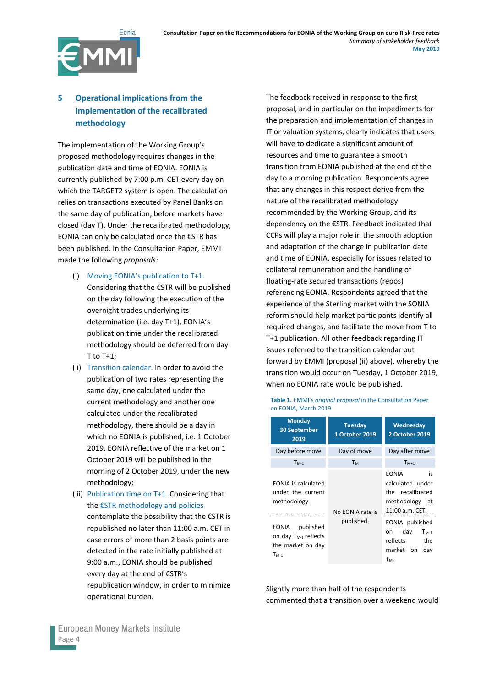

# <span id="page-7-0"></span>**5 Operational implications from the implementation of the recalibrated methodology**

The implementation of the Working Group's proposed methodology requires changes in the publication date and time of EONIA. EONIA is currently published by 7:00 p.m. CET every day on which the TARGET2 system is open. The calculation relies on transactions executed by Panel Banks on the same day of publication, before markets have closed (day T). Under the recalibrated methodology, EONIA can only be calculated once the €STR has been published. In the Consultation Paper, EMMI made the following *proposals*:

- (i) Moving EONIA's publication to T+1.
	- Considering that the €STR will be published on the day following the execution of the overnight trades underlying its determination (i.e. day T+1), EONIA's publication time under the recalibrated methodology should be deferred from day  $T$  to  $T+1$ ;
- (ii) Transition calendar. In order to avoid the publication of two rates representing the same day, one calculated under the current methodology and another one calculated under the recalibrated methodology, there should be a day in which no EONIA is published, i.e. 1 October 2019. EONIA reflective of the market on 1 October 2019 will be published in the morning of 2 October 2019, under the new methodology;
- (iii) Publication time on T+1. Considering that the €STR [methodology and policies](https://www.ecb.europa.eu/paym/initiatives/interest_rate_benchmarks/shared/pdf/ecb.ESTER_methodology_and_policies.en.pdf) contemplate the possibility that the €STR is republished no later than 11:00 a.m. CET in case errors of more than 2 basis points are detected in the rate initially published at 9:00 a.m., EONIA should be published every day at the end of €STR's republication window, in order to minimize operational burden.

The feedback received in response to the first proposal, and in particular on the impediments for the preparation and implementation of changes in IT or valuation systems, clearly indicates that users will have to dedicate a significant amount of resources and time to guarantee a smooth transition from EONIA published at the end of the day to a morning publication. Respondents agree that any changes in this respect derive from the nature of the recalibrated methodology recommended by the Working Group, and its dependency on the €STR. Feedback indicated that CCPs will play a major role in the smooth adoption and adaptation of the change in publication date and time of EONIA, especially for issues related to collateral remuneration and the handling of floating-rate secured transactions (repos) referencing EONIA. Respondents agreed that the experience of the Sterling market with the SONIA reform should help market participants identify all required changes, and facilitate the move from T to T+1 publication. All other feedback regarding IT issues referred to the transition calendar put forward by EMMI (proposal (ii) above), whereby the transition would occur on Tuesday, 1 October 2019, when no EONIA rate would be published.

#### **Table 1.** EMMI's *original proposal* in the Consultation Paper on EONIA, March 2019

| <b>Monday</b><br><b>30 September</b><br>2019                                            | <b>Tuesday</b><br>1 October 2019 | Wednesday<br>2 October 2019                                                                     |  |
|-----------------------------------------------------------------------------------------|----------------------------------|-------------------------------------------------------------------------------------------------|--|
| Day before move                                                                         | Day of move                      | Day after move<br>$T_{M+1}$                                                                     |  |
| $T_{M-1}$                                                                               | <b>Тм</b>                        |                                                                                                 |  |
| <b>EONIA</b> is calculated<br>under the current<br>methodology.                         | No EONIA rate is                 | <b>EONIA</b><br>is<br>calculated under<br>the recalibrated<br>methodology at<br>11:00 a.m. CET. |  |
| EONIA published<br>on day T <sub>M-1</sub> reflects<br>the market on day<br>$T_{M-1}$ . | published.                       | EONIA published<br>$day$ $T_{M+1}$<br>on<br>reflects<br>the<br>market on<br>day<br>Tм.          |  |

Slightly more than half of the respondents commented that a transition over a weekend would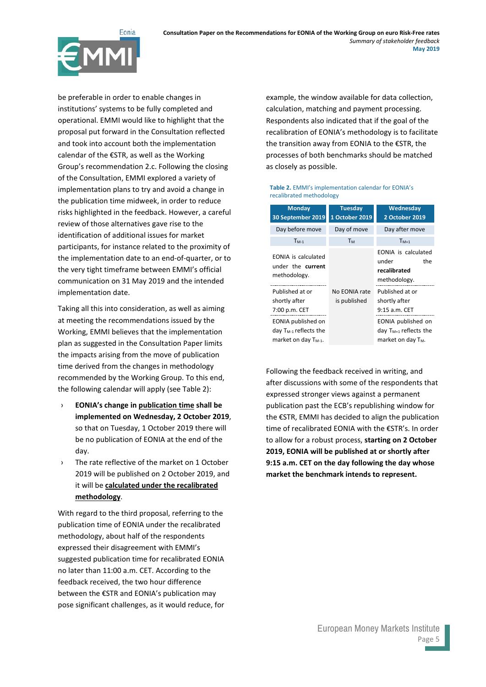

be preferable in order to enable changes in institutions' systems to be fully completed and operational. EMMI would like to highlight that the proposal put forward in the Consultation reflected and took into account both the implementation calendar of the €STR, as well as the Working Group's recommendation 2.c. Following the closing of the Consultation, EMMI explored a variety of implementation plans to try and avoid a change in the publication time midweek, in order to reduce risks highlighted in the feedback. However, a careful review of those alternatives gave rise to the identification of additional issues for market participants, for instance related to the proximity of the implementation date to an end-of-quarter, or to the very tight timeframe between EMMI's official communication on 31 May 2019 and the intended implementation date.

Taking all this into consideration, as well as aiming at meeting the recommendations issued by the Working, EMMI believes that the implementation plan as suggested in the Consultation Paper limits the impacts arising from the move of publication time derived from the changes in methodology recommended by the Working Group. To this end, the following calendar will apply (see Table 2):

- › **EONIA's change in publication time shall be implemented on Wednesday, 2 October 2019**, so that on Tuesday, 1 October 2019 there will be no publication of EONIA at the end of the day.
- › The rate reflective of the market on 1 October 2019 will be published on 2 October 2019, and it will be **calculated under the recalibrated methodology**.

With regard to the third proposal, referring to the publication time of EONIA under the recalibrated methodology, about half of the respondents expressed their disagreement with EMMI's suggested publication time for recalibrated EONIA no later than 11:00 a.m. CET. According to the feedback received, the two hour difference between the €STR and EONIA's publication may pose significant challenges, as it would reduce, for example, the window available for data collection, calculation, matching and payment processing. Respondents also indicated that if the goal of the recalibration of EONIA's methodology is to facilitate the transition away from EONIA to the €STR, the processes of both benchmarks should be matched as closely as possible.

#### **Table 2.** EMMI's implementation calendar for EONIA's recalibrated methodology

| <b>Monday</b><br>30 September 2019                                                   | <b>Tuesday</b><br>1 October 2019 | Wednesday<br>2 October 2019                                                        |  |
|--------------------------------------------------------------------------------------|----------------------------------|------------------------------------------------------------------------------------|--|
| Day before move                                                                      | Day of move                      | Day after move<br>$T_{M+1}$                                                        |  |
| $T_{M-1}$                                                                            | <b>Тм</b>                        |                                                                                    |  |
| EONIA is calculated<br>under the <b>current</b><br>methodology.                      |                                  | EONIA is calculated<br>under<br>the<br>recalibrated<br>methodology.                |  |
| Published at or<br>shortly after<br>7:00 p.m. CET                                    | No EONIA rate<br>is published    | Published at or<br>shortly after<br>9:15 a.m. CET                                  |  |
| EONIA published on<br>day $T_{M-1}$ reflects the<br>market on day T <sub>M-1</sub> . |                                  | EONIA published on<br>day $T_{M+1}$ reflects the<br>market on day T <sub>M</sub> . |  |

Following the feedback received in writing, and after discussions with some of the respondents that expressed stronger views against a permanent publication past the ECB's republishing window for the €STR, EMMI has decided to align the publication time of recalibrated EONIA with the €STR's. In order to allow for a robust process, **starting on 2 October 2019, EONIA will be published at or shortly after 9:15 a.m. CET on the day following the day whose market the benchmark intends to represent.**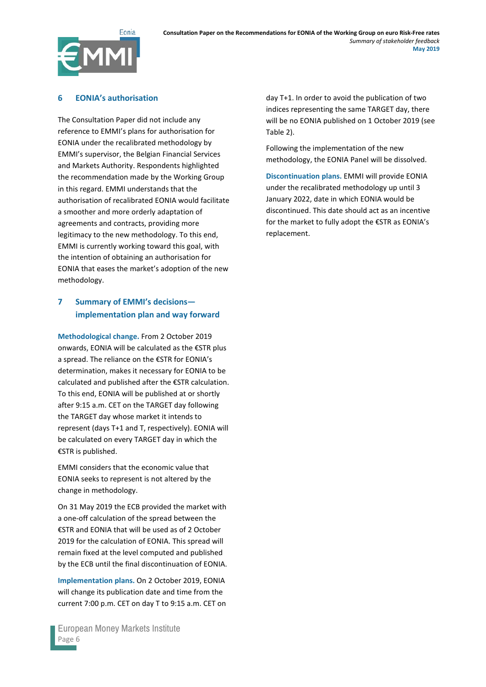

#### <span id="page-9-0"></span>**6 EONIA's authorisation**

The Consultation Paper did not include any reference to EMMI's plans for authorisation for EONIA under the recalibrated methodology by EMMI's supervisor, the Belgian Financial Services and Markets Authority. Respondents highlighted the recommendation made by the Working Group in this regard. EMMI understands that the authorisation of recalibrated EONIA would facilitate a smoother and more orderly adaptation of agreements and contracts, providing more legitimacy to the new methodology. To this end, EMMI is currently working toward this goal, with the intention of obtaining an authorisation for EONIA that eases the market's adoption of the new methodology.

### <span id="page-9-1"></span>**7 Summary of EMMI's decisions implementation plan and way forward**

**Methodological change.** From 2 October 2019 onwards, EONIA will be calculated as the €STR plus a spread. The reliance on the €STR for EONIA's determination, makes it necessary for EONIA to be calculated and published after the €STR calculation. To this end, EONIA will be published at or shortly after 9:15 a.m. CET on the TARGET day following the TARGET day whose market it intends to represent (days T+1 and T, respectively). EONIA will be calculated on every TARGET day in which the €STR is published.

EMMI considers that the economic value that EONIA seeks to represent is not altered by the change in methodology.

On 31 May 2019 the ECB provided the market with a one-off calculation of the spread between the €STR and EONIA that will be used as of 2 October 2019 for the calculation of EONIA. This spread will remain fixed at the level computed and published by the ECB until the final discontinuation of EONIA.

**Implementation plans.** On 2 October 2019, EONIA will change its publication date and time from the current 7:00 p.m. CET on day T to 9:15 a.m. CET on

European Money Markets Institute Page 6

day T+1. In order to avoid the publication of two indices representing the same TARGET day, there will be no EONIA published on 1 October 2019 (see Table 2).

Following the implementation of the new methodology, the EONIA Panel will be dissolved.

**Discontinuation plans.** EMMI will provide EONIA under the recalibrated methodology up until 3 January 2022, date in which EONIA would be discontinued. This date should act as an incentive for the market to fully adopt the €STR as EONIA's replacement.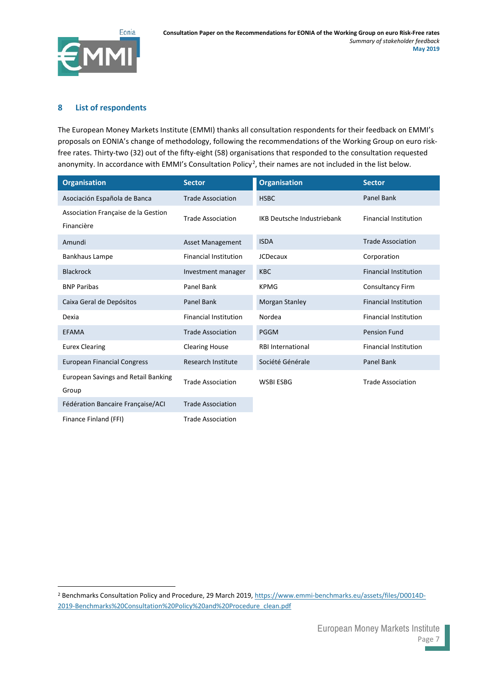

#### <span id="page-10-0"></span>**8 List of respondents**

The European Money Markets Institute (EMMI) thanks all consultation respondents for their feedback on EMMI's proposals on EONIA's change of methodology, following the recommendations of the Working Group on euro riskfree rates. Thirty-two (32) out of the fifty-eight (58) organisations that responded to the consultation requested anonymity. In accordance with EMMI's Consultation Policy<sup>[2](#page-10-1)</sup>, their names are not included in the list below.

| <b>Organisation</b>                                 | <b>Sector</b>                | <b>Organisation</b>                          | <b>Sector</b>                |
|-----------------------------------------------------|------------------------------|----------------------------------------------|------------------------------|
| Asociación Española de Banca                        | <b>Trade Association</b>     | <b>HSBC</b>                                  | Panel Bank                   |
| Association Française de la Gestion<br>Financière   | <b>Trade Association</b>     | <b>IKB Deutsche Industriebank</b>            | <b>Financial Institution</b> |
| Amundi                                              | <b>Asset Management</b>      | <b>ISDA</b>                                  | <b>Trade Association</b>     |
| Bankhaus Lampe                                      | <b>Financial Institution</b> | <b>JCDecaux</b>                              | Corporation                  |
| <b>Blackrock</b>                                    | Investment manager           | <b>KBC</b>                                   | <b>Financial Institution</b> |
| <b>BNP Paribas</b>                                  | Panel Bank                   | <b>KPMG</b>                                  | Consultancy Firm             |
| Caixa Geral de Depósitos                            | Panel Bank                   | Morgan Stanley                               | <b>Financial Institution</b> |
| Dexia                                               | <b>Financial Institution</b> | Nordea                                       | <b>Financial Institution</b> |
| <b>EFAMA</b>                                        | <b>Trade Association</b>     | <b>PGGM</b>                                  | <b>Pension Fund</b>          |
| <b>Eurex Clearing</b>                               | <b>Clearing House</b>        | <b>RBI</b> International                     | <b>Financial Institution</b> |
| <b>European Financial Congress</b>                  | <b>Research Institute</b>    | Société Générale                             | Panel Bank                   |
| <b>European Savings and Retail Banking</b><br>Group | <b>Trade Association</b>     | <b>WSBI ESBG</b><br><b>Trade Association</b> |                              |
| Fédération Bancaire Française/ACI                   | <b>Trade Association</b>     |                                              |                              |
| Finance Finland (FFI)                               | <b>Trade Association</b>     |                                              |                              |

<span id="page-10-1"></span><sup>&</sup>lt;sup>2</sup> Benchmarks Consultation Policy and Procedure, 29 March 2019, https://www.emmi-benchmarks.eu/assets/files/D0014D-2019-Benchmarks%20Consultation%20Policy%20and%20Procedure\_clean.pdf